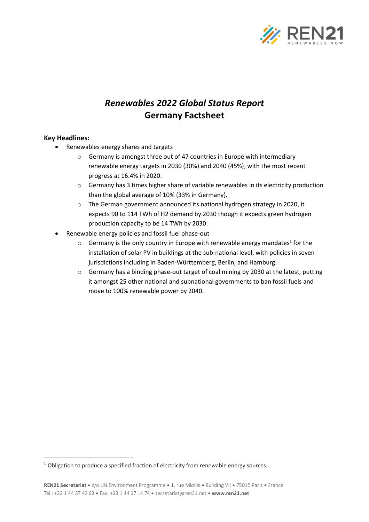

# *Renewables 2022 Global Status Report* **Germany Factsheet**

## **Key Headlines:**

- Renewables energy shares and targets
	- o Germany is amongst three out of 47 countries in Europe with intermediary renewable energy targets in 2030 (30%) and 2040 (45%), with the most recent progress at 16.4% in 2020.
	- o Germany has 3 times higher share of variable renewables in its electricity production than the global average of 10% (33% in Germany).
	- o The German government announced its national hydrogen strategy in 2020, it expects 90 to 114 TWh of H2 demand by 2030 though it expects green hydrogen production capacity to be 14 TWh by 2030.
- Renewable energy policies and fossil fuel phase-out
	- $\circ$  Germany is the only country in Europe with renewable energy mandates<sup>1</sup> for the installation of solar PV in buildings at the sub-national level, with policies in seven jurisdictions including in Baden-Württemberg, Berlin, and Hamburg.
	- o Germany has a binding phase-out target of coal mining by 2030 at the latest, putting it amongst 25 other national and subnational governments to ban fossil fuels and move to 100% renewable power by 2040.

<sup>&</sup>lt;sup>1</sup> Obligation to produce a specified fraction of electricity from renewable energy sources.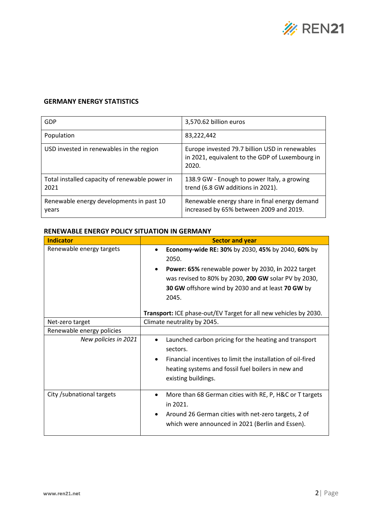

## **GERMANY ENERGY STATISTICS**

| GDP                                                    | 3,570.62 billion euros                                                                                     |
|--------------------------------------------------------|------------------------------------------------------------------------------------------------------------|
| Population                                             | 83,222,442                                                                                                 |
| USD invested in renewables in the region               | Europe invested 79.7 billion USD in renewables<br>in 2021, equivalent to the GDP of Luxembourg in<br>2020. |
| Total installed capacity of renewable power in<br>2021 | 138.9 GW - Enough to power Italy, a growing<br>trend (6.8 GW additions in 2021).                           |
| Renewable energy developments in past 10<br>years      | Renewable energy share in final energy demand<br>increased by 65% between 2009 and 2019.                   |

#### **RENEWABLE ENERGY POLICY SITUATION IN GERMANY**

| <b>Indicator</b>          | <b>Sector and year</b>                                                                                                                                                                                                                              |  |
|---------------------------|-----------------------------------------------------------------------------------------------------------------------------------------------------------------------------------------------------------------------------------------------------|--|
| Renewable energy targets  | Economy-wide RE: 30% by 2030, 45% by 2040, 60% by<br>2050.<br>Power: 65% renewable power by 2030, in 2022 target<br>$\bullet$<br>was revised to 80% by 2030, 200 GW solar PV by 2030,<br>30 GW offshore wind by 2030 and at least 70 GW by<br>2045. |  |
|                           | Transport: ICE phase-out/EV Target for all new vehicles by 2030.                                                                                                                                                                                    |  |
| Net-zero target           | Climate neutrality by 2045.                                                                                                                                                                                                                         |  |
| Renewable energy policies |                                                                                                                                                                                                                                                     |  |
| New policies in 2021      | Launched carbon pricing for the heating and transport<br>$\bullet$<br>sectors.<br>Financial incentives to limit the installation of oil-fired<br>$\bullet$<br>heating systems and fossil fuel boilers in new and<br>existing buildings.             |  |
| City /subnational targets | More than 68 German cities with RE, P, H&C or T targets<br>$\bullet$<br>in 2021.<br>Around 26 German cities with net-zero targets, 2 of<br>$\bullet$<br>which were announced in 2021 (Berlin and Essen).                                            |  |